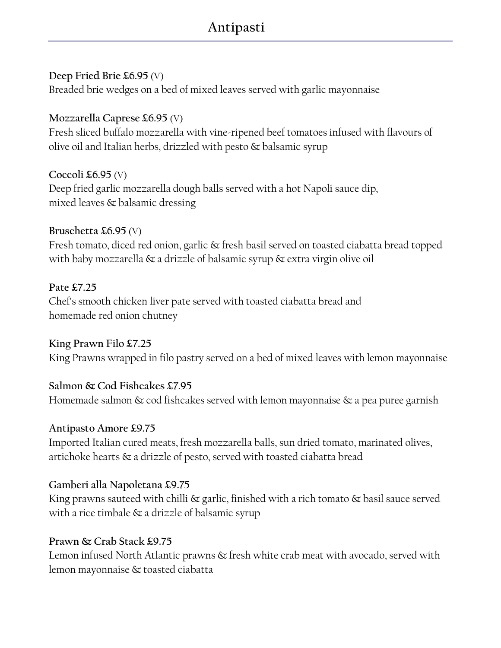# Antipasti

# Deep Fried Brie £6.95 (V)

Breaded brie wedges on a bed of mixed leaves served with garlic mayonnaise

# Mozzarella Caprese £6.95 (V)

Fresh sliced buffalo mozzarella with vine-ripened beef tomatoes infused with flavours of olive oil and Italian herbs, drizzled with pesto & balsamic syrup

# Coccoli  $\pounds 6.95$  (V)

Deep fried garlic mozzarella dough balls served with a hot Napoli sauce dip, mixed leaves & balsamic dressing

# Bruschetta £6.95 (V)

Fresh tomato, diced red onion, garlic & fresh basil served on toasted ciabatta bread topped with baby mozzarella & a drizzle of balsamic syrup & extra virgin olive oil

# Pate £7.25

Chef's smooth chicken liver pate served with toasted ciabatta bread and homemade red onion chutney

### King Prawn Filo £7.25

King Prawns wrapped in filo pastry served on a bed of mixed leaves with lemon mayonnaise

# Salmon & Cod Fishcakes £7.95

Homemade salmon & cod fishcakes served with lemon mayonnaise & a pea puree garnish

# Antipasto Amore £9.75

Imported Italian cured meats, fresh mozzarella balls, sun dried tomato, marinated olives, artichoke hearts & a drizzle of pesto, served with toasted ciabatta bread

# Gamberi alla Napoletana £9.75

King prawns sauteed with chilli & garlic, finished with a rich tomato & basil sauce served with a rice timbale & a drizzle of balsamic syrup

# Prawn & Crab Stack £9.75

Lemon infused North Atlantic prawns & fresh white crab meat with avocado, served with lemon mayonnaise & toasted ciabatta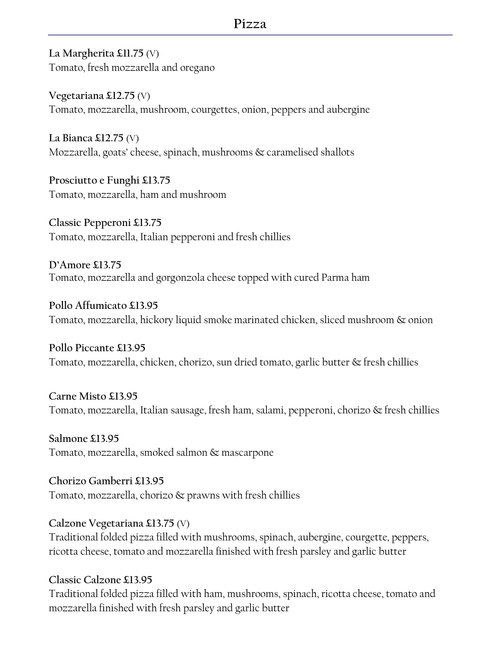La Margherita £11.75 (V) Tomato, fresh mozzarella and oregano

Vegetariana £12.75 (V) Tomato, mozzarella, mushroom, courgettes, onion, peppers and aubergine

La Bianca  $\text{\pounds}12.75$  (V) Mozzarella, goats' cheese, spinach, mushrooms & caramelised shallots

Prosciutto e Funghi £13.75 Tomato, mozzarella, ham and mushroom

Classic Pepperoni £13.75 Tomato, mozzarella, Italian pepperoni and fresh chillies

D'Amore £13.75 Tomato, mozzarella and gorgonzola cheese topped with cured Parma ham

Pollo Affumicato £13.95 Tomato, mozzarella, hickory liquid smoke marinated chicken, sliced mushroom & onion

Pollo Piccante £13.95 Tomato, mozzarella, chicken, chorizo, sun dried tomato, garlic butter & fresh chillies

Carne Misto £13.95 Tomato, mozzarella, Italian sausage, fresh ham, salami, pepperoni, chorizo & fresh chillies

Salmone £13.95 Tomato, mozzarella, smoked salmon & mascarpone

Chorizo Gamberri £13.95 Tomato, mozzarella, chorizo & prawns with fresh chillies

Calzone Vegetariana £13.75 (V) Traditional folded pizza filled with mushrooms, spinach, aubergine, courgette, peppers, ricotta cheese, tomato and mozzarella finished with fresh parsley and garlic butter

### Classic Calzone £13.95

Traditional folded pizza filled with ham, mushrooms, spinach, ricotta cheese, tomato and mozzarella finished with fresh parsley and garlic butter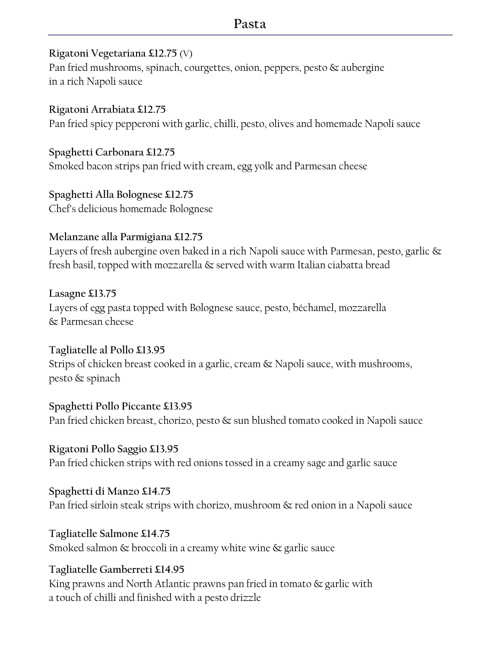# Pasta

### Rigatoni Vegetariana £12.75 (V)

Pan fried mushrooms, spinach, courgettes, onion, peppers, pesto & aubergine in a rich Napoli sauce

Rigatoni Arrabiata £12.75 Pan fried spicy pepperoni with garlic, chilli, pesto, olives and homemade Napoli sauce

Spaghetti Carbonara £12.75 Smoked bacon strips pan fried with cream, egg yolk and Parmesan cheese

Spaghetti Alla Bolognese £12.75 Chef's delicious homemade Bolognese

# Melanzane alla Parmigiana £12.75

Layers of fresh aubergine oven baked in a rich Napoli sauce with Parmesan, pesto, garlic & fresh basil, topped with mozzarella & served with warm Italian ciabatta bread

Lasagne £13.75 Layers of egg pasta topped with Bolognese sauce, pesto, béchamel, mozzarella & Parmesan cheese

Tagliatelle al Pollo £13.95 Strips of chicken breast cooked in a garlic, cream & Napoli sauce, with mushrooms, pesto & spinach

Spaghetti Pollo Piccante £13.95 Pan fried chicken breast, chorizo, pesto & sun blushed tomato cooked in Napoli sauce

Rigatoni Pollo Saggio £13.95 Pan fried chicken strips with red onions tossed in a creamy sage and garlic sauce

Spaghetti di Manzo £14.75 Pan fried sirloin steak strips with chorizo, mushroom & red onion in a Napoli sauce

Tagliatelle Salmone £14.75 Smoked salmon & broccoli in a creamy white wine & garlic sauce

# Tagliatelle Gamberreti £14.95

King prawns and North Atlantic prawns pan fried in tomato & garlic with a touch of chilli and finished with a pesto drizzle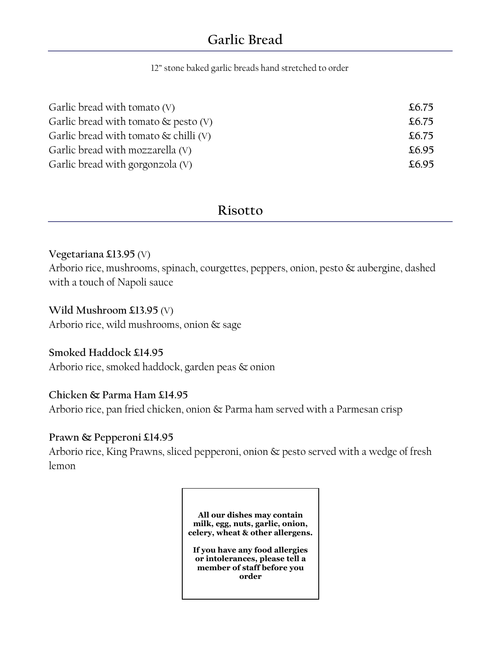12" stone baked garlic breads hand stretched to order

| Garlic bread with tomato $(V)$           | \$6.75 |
|------------------------------------------|--------|
| Garlic bread with tomato $\&$ pesto (V)  | £6.75  |
| Garlic bread with tomato $\&$ chilli (V) | \$6.75 |
| Garlic bread with mozzarella (V)         | £6.95  |
| Garlic bread with gorgonzola (V)         | £6.95  |

# Risotto

#### Vegetariana £13.95 (V)

Arborio rice, mushrooms, spinach, courgettes, peppers, onion, pesto & aubergine, dashed with a touch of Napoli sauce

#### Wild Mushroom £13.95 (V)

Arborio rice, wild mushrooms, onion & sage

#### Smoked Haddock £14.95

Arborio rice, smoked haddock, garden peas & onion

#### Chicken & Parma Ham £14.95

Arborio rice, pan fried chicken, onion & Parma ham served with a Parmesan crisp

#### Prawn & Pepperoni £14.95

Arborio rice, King Prawns, sliced pepperoni, onion & pesto served with a wedge of fresh lemon

> All our dishes may contain milk, egg, nuts, garlic, onion, celery, wheat & other allergens.

If you have any food allergies or intolerances, please tell a member of staff before you order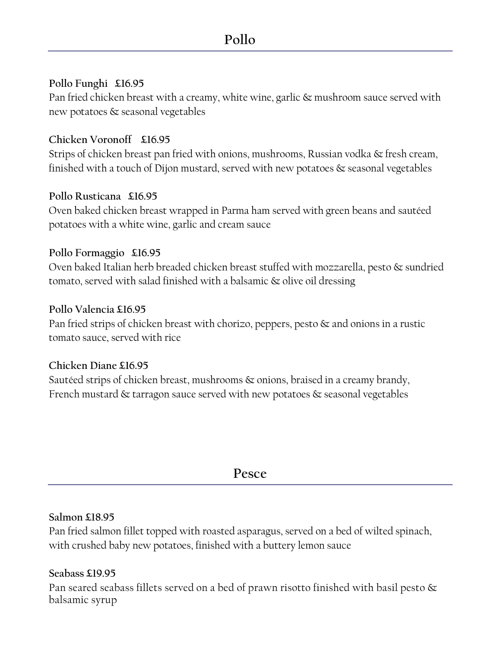### Pollo Funghi £16.95

Pan fried chicken breast with a creamy, white wine, garlic & mushroom sauce served with new potatoes & seasonal vegetables

### Chicken Voronoff £16.95

Strips of chicken breast pan fried with onions, mushrooms, Russian vodka & fresh cream, finished with a touch of Dijon mustard, served with new potatoes & seasonal vegetables

### Pollo Rusticana £16.95

Oven baked chicken breast wrapped in Parma ham served with green beans and sautéed potatoes with a white wine, garlic and cream sauce

### Pollo Formaggio £16.95

Oven baked Italian herb breaded chicken breast stuffed with mozzarella, pesto & sundried tomato, served with salad finished with a balsamic & olive oil dressing

### Pollo Valencia £16.95

Pan fried strips of chicken breast with chorizo, peppers, pesto  $\&$  and onions in a rustic tomato sauce, served with rice

### Chicken Diane £16.95

Sautéed strips of chicken breast, mushrooms & onions, braised in a creamy brandy, French mustard  $\&$  tarragon sauce served with new potatoes  $\&$  seasonal vegetables

# Pesce

### Salmon £18.95

Pan fried salmon fillet topped with roasted asparagus, served on a bed of wilted spinach, with crushed baby new potatoes, finished with a buttery lemon sauce

### Seabass £19.95

Pan seared seabass fillets served on a bed of prawn risotto finished with basil pesto  $\&$ balsamic syrup